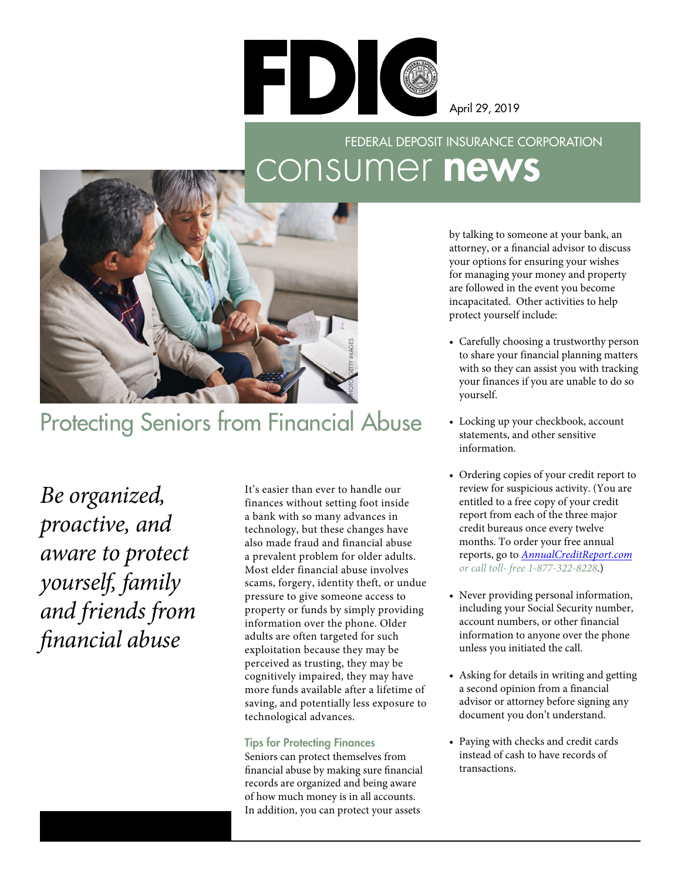

April 29, 2019

## consumer news FEDERAL DEPOSIT INSURANCE CORPORATION



## Protecting Seniors from Financial Abuse

*Be organized, proactive, and aware to protect yourself, family and friends from fnancial abuse* 

a prevalent problem for older adults. It's easier than ever to handle our finances without setting foot inside a bank with so many advances in technology, but these changes have also made fraud and financial abuse Most elder financial abuse involves scams, forgery, identity theft, or undue pressure to give someone access to property or funds by simply providing information over the phone. Older adults are often targeted for such exploitation because they may be perceived as trusting, they may be cognitively impaired, they may have more funds available after a lifetime of saving, and potentially less exposure to technological advances.

## Tips for Protecting Finances

Seniors can protect themselves from fnancial abuse by making sure fnancial records are organized and being aware of how much money is in all accounts. In addition, you can protect your assets

by talking to someone at your bank, an attorney, or a fnancial advisor to discuss your options for ensuring your wishes for managing your money and property are followed in the event you become incapacitated. Other activities to help protect yourself include:

- Carefully choosing a trustworthy person to share your financial planning matters with so they can assist you with tracking your finances if you are unable to do so yourself.
- Locking up your checkbook, account statements, and other sensitive information.
- Ordering copies of your credit report to review for suspicious activity. (You are entitled to a free copy of your credit report from each of the three major credit bureaus once every twelve months. To order your free annual reports, go to *[AnnualCreditReport.com](http://AnnualCreditReport.com)  or call toll- free 1-877-322-8228*.)
- Never providing personal information, including your Social Security number, account numbers, or other financial information to anyone over the phone unless you initiated the call.
- Asking for details in writing and getting a second opinion from a financial advisor or attorney before signing any document you don't understand.
- Paying with checks and credit cards instead of cash to have records of transactions.